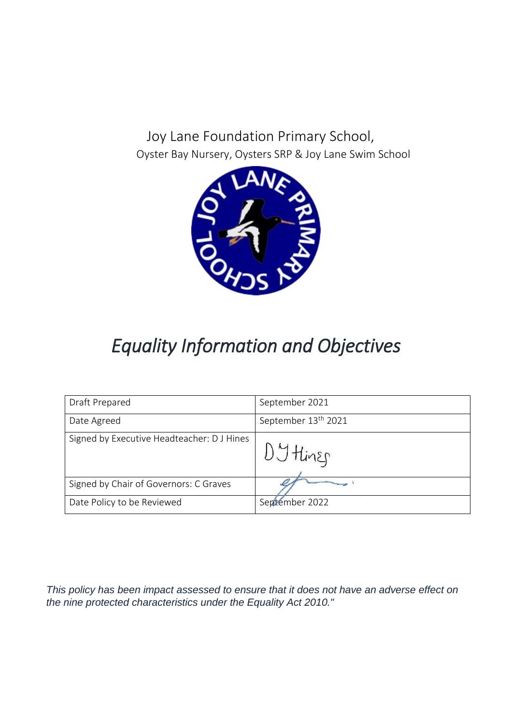Joy Lane Foundation Primary School, Oyster Bay Nursery, Oysters SRP & Joy Lane Swim School



# *Equality Information and Objectives*

| Draft Prepared                             | September 2021                  |
|--------------------------------------------|---------------------------------|
| Date Agreed                                | September 13 <sup>th</sup> 2021 |
| Signed by Executive Headteacher: D J Hines | DJ Hiner                        |
| Signed by Chair of Governors: C Graves     |                                 |
| Date Policy to be Reviewed                 | Sertember 2022                  |

*This policy has been impact assessed to ensure that it does not have an adverse effect on the nine protected characteristics under the Equality Act 2010."*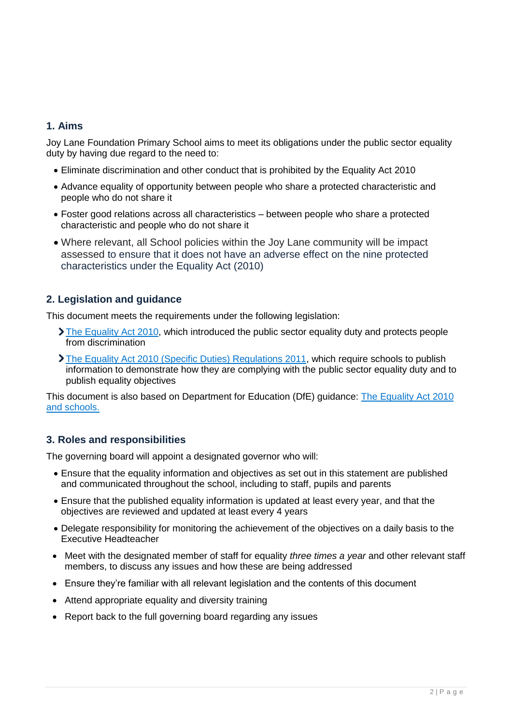#### **1. Aims**

Joy Lane Foundation Primary School aims to meet its obligations under the public sector equality duty by having due regard to the need to:

- Eliminate discrimination and other conduct that is prohibited by the Equality Act 2010
- Advance equality of opportunity between people who share a protected characteristic and people who do not share it
- Foster good relations across all characteristics between people who share a protected characteristic and people who do not share it
- Where relevant, all School policies within the Joy Lane community will be impact assessed to ensure that it does not have an adverse effect on the nine protected characteristics under the Equality Act (2010)

## **2. Legislation and guidance**

This document meets the requirements under the following legislation:

- [The Equality Act 2010,](http://www.legislation.gov.uk/ukpga/2010/15/contents) which introduced the public sector equality duty and protects people from discrimination
- [The Equality Act 2010 \(Specific Duties\) Regulations 2011,](http://www.legislation.gov.uk/uksi/2011/2260/contents/made) which require schools to publish information to demonstrate how they are complying with the public sector equality duty and to publish equality objectives

This document is also based on Department for Education (DfE) guidance: [The Equality Act 2010](https://www.gov.uk/government/publications/equality-act-2010-advice-for-schools)  [and schools.](https://www.gov.uk/government/publications/equality-act-2010-advice-for-schools) 

#### **3. Roles and responsibilities**

The governing board will appoint a designated governor who will:

- Ensure that the equality information and objectives as set out in this statement are published and communicated throughout the school, including to staff, pupils and parents
- Ensure that the published equality information is updated at least every year, and that the objectives are reviewed and updated at least every 4 years
- Delegate responsibility for monitoring the achievement of the objectives on a daily basis to the Executive Headteacher
- Meet with the designated member of staff for equality *three times a year* and other relevant staff members, to discuss any issues and how these are being addressed
- Ensure they're familiar with all relevant legislation and the contents of this document
- Attend appropriate equality and diversity training
- Report back to the full governing board regarding any issues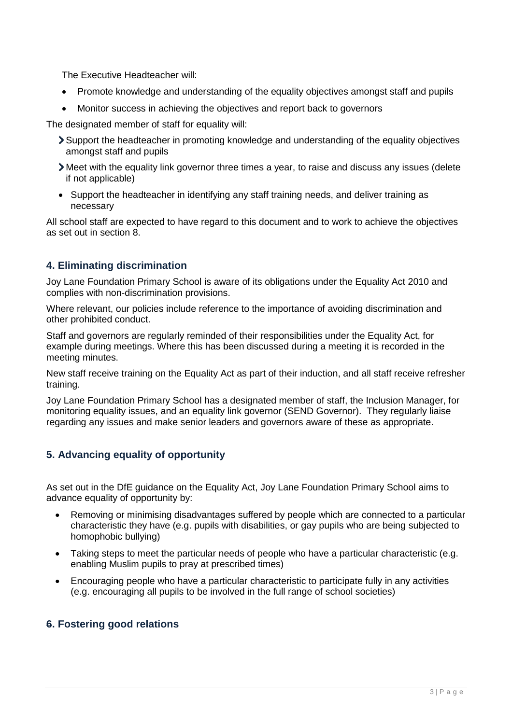The Executive Headteacher will:

- Promote knowledge and understanding of the equality objectives amongst staff and pupils
- Monitor success in achieving the objectives and report back to governors

The designated member of staff for equality will:

- Support the headteacher in promoting knowledge and understanding of the equality objectives amongst staff and pupils
- Meet with the equality link governor three times a year, to raise and discuss any issues (delete if not applicable)
- Support the headteacher in identifying any staff training needs, and deliver training as necessary

All school staff are expected to have regard to this document and to work to achieve the objectives as set out in section 8.

## **4. Eliminating discrimination**

Joy Lane Foundation Primary School is aware of its obligations under the Equality Act 2010 and complies with non-discrimination provisions.

Where relevant, our policies include reference to the importance of avoiding discrimination and other prohibited conduct.

Staff and governors are regularly reminded of their responsibilities under the Equality Act, for example during meetings. Where this has been discussed during a meeting it is recorded in the meeting minutes.

New staff receive training on the Equality Act as part of their induction, and all staff receive refresher training.

Joy Lane Foundation Primary School has a designated member of staff, the Inclusion Manager, for monitoring equality issues, and an equality link governor (SEND Governor). They regularly liaise regarding any issues and make senior leaders and governors aware of these as appropriate.

# **5. Advancing equality of opportunity**

As set out in the DfE guidance on the Equality Act, Joy Lane Foundation Primary School aims to advance equality of opportunity by:

- Removing or minimising disadvantages suffered by people which are connected to a particular characteristic they have (e.g. pupils with disabilities, or gay pupils who are being subjected to homophobic bullying)
- Taking steps to meet the particular needs of people who have a particular characteristic (e.g. enabling Muslim pupils to pray at prescribed times)
- Encouraging people who have a particular characteristic to participate fully in any activities (e.g. encouraging all pupils to be involved in the full range of school societies)

#### **6. Fostering good relations**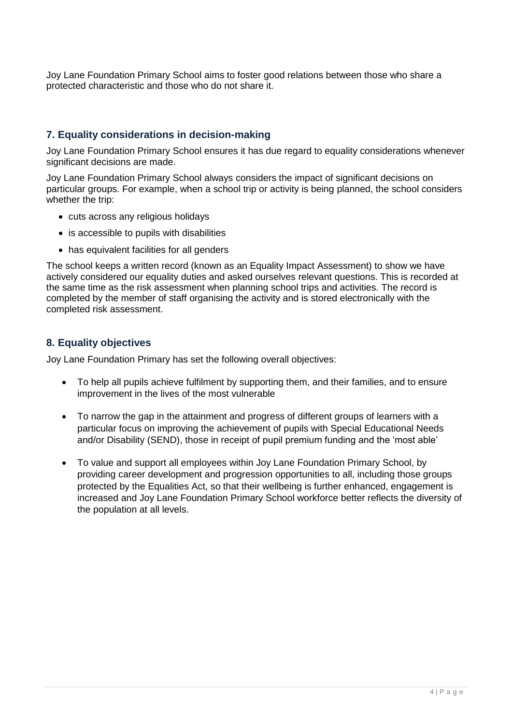Joy Lane Foundation Primary School aims to foster good relations between those who share a protected characteristic and those who do not share it.

#### **7. Equality considerations in decision-making**

Joy Lane Foundation Primary School ensures it has due regard to equality considerations whenever significant decisions are made.

Joy Lane Foundation Primary School always considers the impact of significant decisions on particular groups. For example, when a school trip or activity is being planned, the school considers whether the trip:

- cuts across any religious holidays
- is accessible to pupils with disabilities
- has equivalent facilities for all genders

The school keeps a written record (known as an Equality Impact Assessment) to show we have actively considered our equality duties and asked ourselves relevant questions. This is recorded at the same time as the risk assessment when planning school trips and activities. The record is completed by the member of staff organising the activity and is stored electronically with the completed risk assessment.

#### **8. Equality objectives**

Joy Lane Foundation Primary has set the following overall objectives:

- To help all pupils achieve fulfilment by supporting them, and their families, and to ensure improvement in the lives of the most vulnerable
- To narrow the gap in the attainment and progress of different groups of learners with a particular focus on improving the achievement of pupils with Special Educational Needs and/or Disability (SEND), those in receipt of pupil premium funding and the 'most able'
- To value and support all employees within Joy Lane Foundation Primary School, by providing career development and progression opportunities to all, including those groups protected by the Equalities Act, so that their wellbeing is further enhanced, engagement is increased and Joy Lane Foundation Primary School workforce better reflects the diversity of the population at all levels.